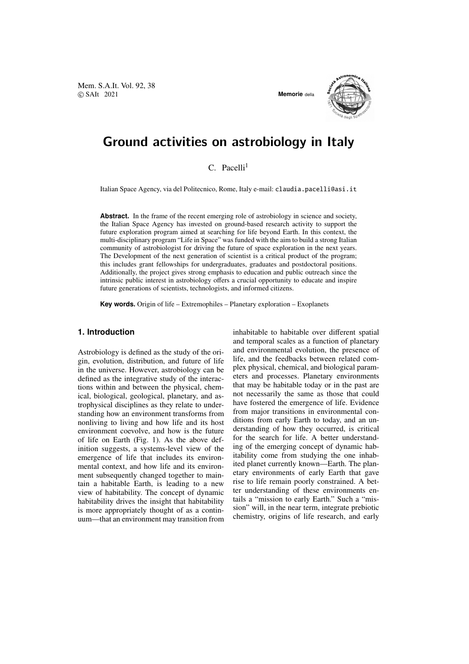Mem. S.A.It. Vol. 92, 38 © SAIt 2021 **Memorie** della



# Ground activities on astrobiology in Italy

## $C.$  Pacelli<sup>1</sup>

Italian Space Agency, via del Politecnico, Rome, Italy e-mail: claudia.pacelli@asi.it

Abstract. In the frame of the recent emerging role of astrobiology in science and society, the Italian Space Agency has invested on ground-based research activity to support the future exploration program aimed at searching for life beyond Earth. In this context, the multi-disciplinary program "Life in Space" was funded with the aim to build a strong Italian community of astrobiologist for driving the future of space exploration in the next years. The Development of the next generation of scientist is a critical product of the program; this includes grant fellowships for undergraduates, graduates and postdoctoral positions. Additionally, the project gives strong emphasis to education and public outreach since the intrinsic public interest in astrobiology offers a crucial opportunity to educate and inspire future generations of scientists, technologists, and informed citizens.

**Key words.** Origin of life – Extremophiles – Planetary exploration – Exoplanets

### **1. Introduction**

Astrobiology is defined as the study of the origin, evolution, distribution, and future of life in the universe. However, astrobiology can be defined as the integrative study of the interactions within and between the physical, chemical, biological, geological, planetary, and astrophysical disciplines as they relate to understanding how an environment transforms from nonliving to living and how life and its host environment coevolve, and how is the future of life on Earth (Fig. 1). As the above definition suggests, a systems-level view of the emergence of life that includes its environmental context, and how life and its environment subsequently changed together to maintain a habitable Earth, is leading to a new view of habitability. The concept of dynamic habitability drives the insight that habitability is more appropriately thought of as a continuum—that an environment may transition from inhabitable to habitable over different spatial and temporal scales as a function of planetary and environmental evolution, the presence of life, and the feedbacks between related complex physical, chemical, and biological parameters and processes. Planetary environments that may be habitable today or in the past are not necessarily the same as those that could have fostered the emergence of life. Evidence from major transitions in environmental conditions from early Earth to today, and an understanding of how they occurred, is critical for the search for life. A better understanding of the emerging concept of dynamic habitability come from studying the one inhabited planet currently known—Earth. The planetary environments of early Earth that gave rise to life remain poorly constrained. A better understanding of these environments entails a "mission to early Earth." Such a "mission" will, in the near term, integrate prebiotic chemistry, origins of life research, and early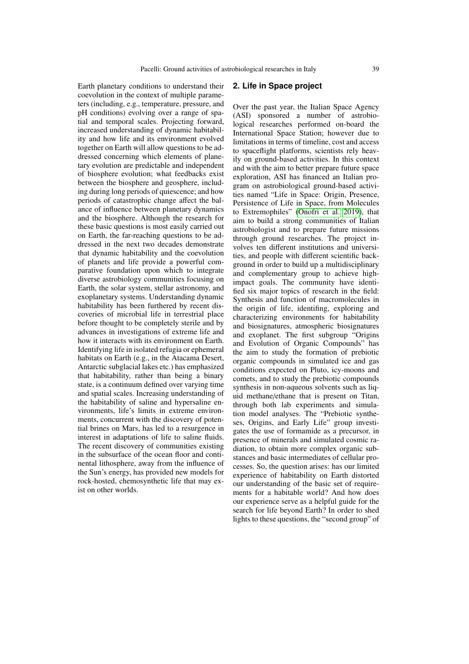Earth planetary conditions to understand their coevolution in the context of multiple parameters (including, e.g., temperature, pressure, and pH conditions) evolving over a range of spatial and temporal scales. Projecting forward, increased understanding of dynamic habitability and how life and its environment evolved together on Earth will allow questions to be addressed concerning which elements of planetary evolution are predictable and independent of biosphere evolution; what feedbacks exist between the biosphere and geosphere, including during long periods of quiescence; and how periods of catastrophic change affect the balance of influence between planetary dynamics and the biosphere. Although the research for these basic questions is most easily carried out on Earth, the far-reaching questions to be addressed in the next two decades demonstrate that dynamic habitability and the coevolution of planets and life provide a powerful comparative foundation upon which to integrate diverse astrobiology communities focusing on Earth, the solar system, stellar astronomy, and exoplanetary systems. Understanding dynamic habitability has been furthered by recent discoveries of microbial life in terrestrial place before thought to be completely sterile and by advances in investigations of extreme life and how it interacts with its environment on Earth. Identifying life in isolated refugia or ephemeral habitats on Earth (e.g., in the Atacama Desert, Antarctic subglacial lakes etc.) has emphasized that habitability, rather than being a binary state, is a continuum defined over varying time and spatial scales. Increasing understanding of the habitability of saline and hypersaline environments, life's limits in extreme environments, concurrent with the discovery of potential brines on Mars, has led to a resurgence in interest in adaptations of life to saline fluids. The recent discovery of communities existing in the subsurface of the ocean floor and continental lithosphere, away from the influence of the Sun's energy, has provided new models for rock-hosted, chemosynthetic life that may exist on other worlds.

#### **2. Life in Space project**

Over the past year, the Italian Space Agency (ASI) sponsored a number of astrobiological researches performed on-board the International Space Station; however due to limitations in terms of timeline, cost and access to spaceflight platforms, scientists rely heavily on ground-based activities. In this context and with the aim to better prepare future space exploration, ASI has financed an Italian program on astrobiological ground-based activities named "Life in Space: Origin, Presence, Persistence of Life in Space, from Molecules to Extremophiles" [\(Onofri et al. 2019\)](#page-3-0), that aim to build a strong communities of Italian astrobiologist and to prepare future missions through ground researches. The project involves ten different institutions and universities, and people with different scientific background in order to build up a multidisciplinary and complementary group to achieve highimpact goals. The community have identified six major topics of research in the field: Synthesis and function of macromolecules in the origin of life, identifing, exploring and characterizing environments for habitability and biosignatures, atmospheric biosignatures and exoplanet. The first subgroup "Origins and Evolution of Organic Compounds" has the aim to study the formation of prebiotic organic compounds in simulated ice and gas conditions expected on Pluto, icy-moons and comets, and to study the prebiotic compounds synthesis in non-aqueous solvents such as liquid methane/ethane that is present on Titan, through both lab experiments and simulation model analyses. The "Prebiotic syntheses, Origins, and Early Life" group investigates the use of formamide as a precursor, in presence of minerals and simulated cosmic radiation, to obtain more complex organic substances and basic intermediates of cellular processes. So, the question arises: has our limited experience of habitability on Earth distorted our understanding of the basic set of requirements for a habitable world? And how does our experience serve as a helpful guide for the search for life beyond Earth? In order to shed lights to these questions, the "second group" of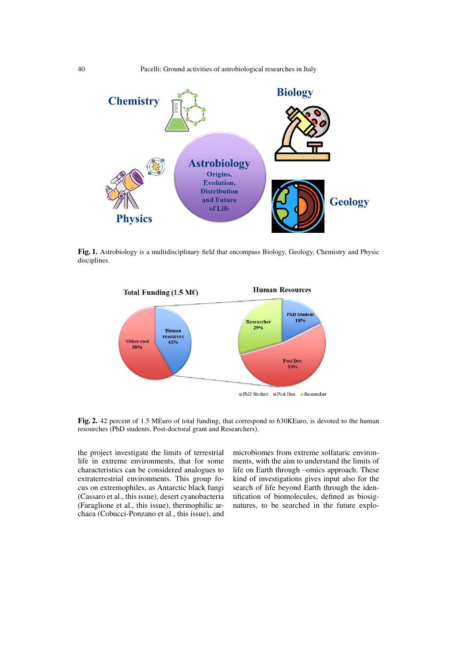40 Pacelli: Ground activities of astrobiological researches in Italy



Fig. 1. Astrobiology is a multidisciplinary field that encompass Biology, Geology, Chemistry and Physic disciplines.



Fig. 2. 42 percent of 1.5 MEuro of total funding, that correspond to 630KEuro, is devoted to the human resourches (PhD students, Post-doctoral grant and Researchers).

the project investigate the limits of terrestrial life in extreme environments, that for some characteristics can be considered analogues to extraterrestrial environments. This group focus on extremophiles, as Antarctic black fungi (Cassaro et al., this issue), desert cyanobacteria (Faraglione et al., this issue), thermophilic archaea (Cobucci-Ponzano et al., this issue), and microbiomes from extreme solfataric environments, with the aim to understand the limits of life on Earth through –omics approach. These kind of investigations gives input also for the search of life beyond Earth through the identification of biomolecules, defined as biosignatures, to be searched in the future explo